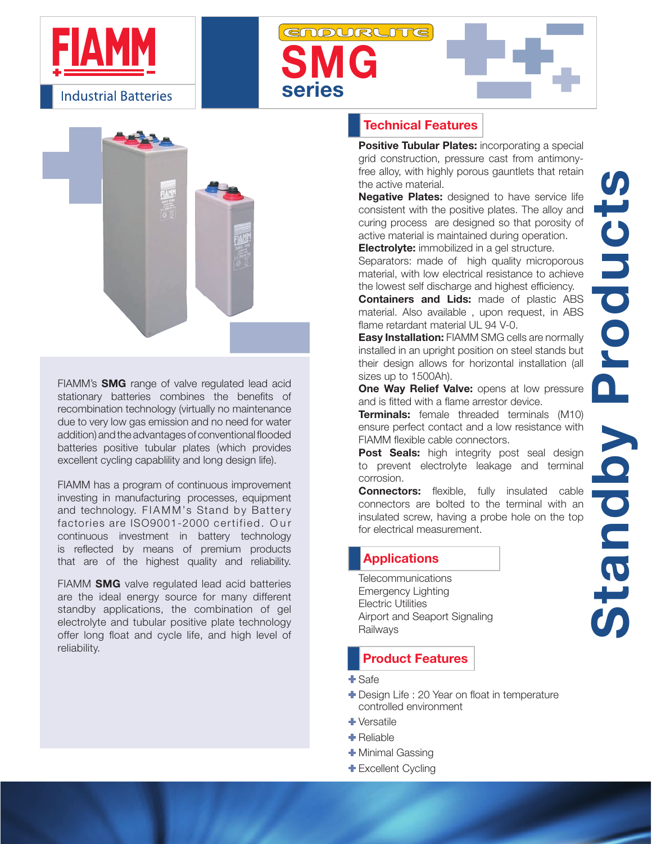



FIAMM's **SMG** range of valve regulated lead acid stationary batteries combines the benefits of recombination technology (virtually no maintenance due to very low gas emission and no need for water addition) and the advantages of conventional flooded batteries positive tubular plates (which provides excellent cycling capablility and long design life).

FIAMM has a program of continuous improvement investing in manufacturing processes, equipment and technology. FIAMM's Stand by Battery factories are ISO9001-2000 certified. Our continuous investment in battery technology is reflected by means of premium products that are of the highest quality and reliability.

FIAMM **SMG** valve regulated lead acid batteries are the ideal energy source for many different standby applications, the combination of gel electrolyte and tubular positive plate technology offer long float and cycle life, and high level of reliability.

#### Technical Features

series

SMG

**ENDURLITE** 

Positive Tubular Plates: incorporating a special grid construction, pressure cast from antimonyfree alloy, with highly porous gauntlets that retain the active material.

**Negative Plates:** designed to have service life consistent with the positive plates. The alloy and curing process are designed so that porosity of active material is maintained during operation. **Electrolyte:** immobilized in a gel structure.

Separators: made of high quality microporous material, with low electrical resistance to achieve the lowest self discharge and highest efficiency.

Containers and Lids: made of plastic ABS material. Also available , upon request, in ABS flame retardant material UL 94 V-0.

**Easy Installation: FIAMM SMG cells are normally** installed in an upright position on steel stands but their design allows for horizontal installation (all sizes up to 1500Ah).

One Way Relief Valve: opens at low pressure and is fitted with a flame arrestor device.

**Terminals:** female threaded terminals (M10) ensure perfect contact and a low resistance with FIAMM flexible cable connectors.

Post Seals: high integrity post seal design to prevent electrolyte leakage and terminal corrosion.

**Connectors:** flexible, fully insulated cable connectors are bolted to the terminal with an insulated screw, having a probe hole on the top for electrical measurement.

### **Applications**

**Telecommunications** Emergency Lighting Electric Utilities Airport and Seaport Signaling Railways

### Product Features

+Safe

- Design Life : 20 Year on float in temperature controlled environment
- **+** Versatile
- $\bigoplus$  Reliable
- Minimal Gassing
- **+ Excellent Cycling**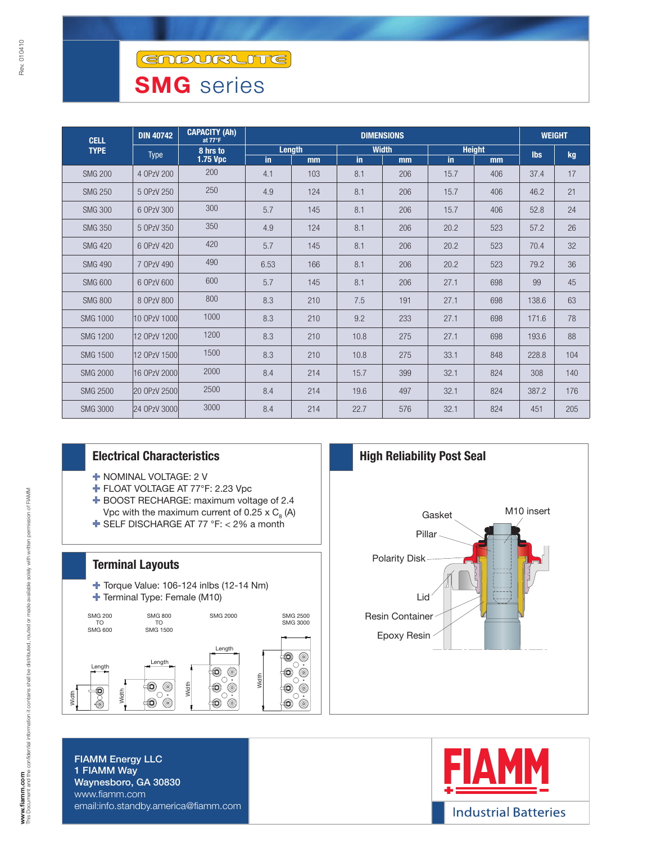# **SMG** series

| <b>CELL</b><br><b>TYPE</b> | <b>DIN 40742</b> | <b>CAPACITY (Ah)</b><br>at 77°F |        | <b>WEIGHT</b> |      |              |      |               |            |     |
|----------------------------|------------------|---------------------------------|--------|---------------|------|--------------|------|---------------|------------|-----|
|                            |                  | 8 hrs to                        | Length |               |      | <b>Width</b> |      | <b>Height</b> | <b>lbs</b> | kg  |
|                            | <b>Type</b>      | 1.75 Vpc                        | in.    | mm            | in.  | mm           | in   | mm            |            |     |
| <b>SMG 200</b>             | 4 OPzV 200       | 200                             | 4.1    | 103           | 8.1  | 206          | 15.7 | 406           | 37.4       | 17  |
| <b>SMG 250</b>             | 5 OPzV 250       | 250                             | 4.9    | 124           | 8.1  | 206          | 15.7 | 406           | 46.2       | 21  |
| <b>SMG 300</b>             | 6 OPzV 300       | 300                             | 5.7    | 145           | 8.1  | 206          | 15.7 | 406           | 52.8       | 24  |
| <b>SMG 350</b>             | 5 OPzV 350       | 350                             | 4.9    | 124           | 8.1  | 206          | 20.2 | 523           | 57.2       | 26  |
| <b>SMG 420</b>             | 6 OPzV 420       | 420                             | 5.7    | 145           | 8.1  | 206          | 20.2 | 523           | 70.4       | 32  |
| <b>SMG 490</b>             | 7 OPzV 490       | 490                             | 6.53   | 166           | 8.1  | 206          | 20.2 | 523           | 79.2       | 36  |
| <b>SMG 600</b>             | 6 OPzV 600       | 600                             | 5.7    | 145           | 8.1  | 206          | 27.1 | 698           | 99         | 45  |
| <b>SMG 800</b>             | 8 OPzV 800       | 800                             | 8.3    | 210           | 7.5  | 191          | 27.1 | 698           | 138.6      | 63  |
| <b>SMG 1000</b>            | 10 OPzV 1000     | 1000                            | 8.3    | 210           | 9.2  | 233          | 27.1 | 698           | 171.6      | 78  |
| <b>SMG 1200</b>            | 12 OPzV 1200     | 1200                            | 8.3    | 210           | 10.8 | 275          | 27.1 | 698           | 193.6      | 88  |
| <b>SMG 1500</b>            | 12 OPzV 1500     | 1500                            | 8.3    | 210           | 10.8 | 275          | 33.1 | 848           | 228.8      | 104 |
| <b>SMG 2000</b>            | 16 OPzV 2000     | 2000                            | 8.4    | 214           | 15.7 | 399          | 32.1 | 824           | 308        | 140 |
| <b>SMG 2500</b>            | 20 OPzV 2500     | 2500                            | 8.4    | 214           | 19.6 | 497          | 32.1 | 824           | 387.2      | 176 |
| <b>SMG 3000</b>            | 24 OPzV 3000     | 3000                            | 8.4    | 214           | 22.7 | 576          | 32.1 | 824           | 451        | 205 |

#### Electrical Characteristics

- **+ NOMINAL VOLTAGE: 2 V**
- FLOAT VOLTAGE AT 77°F: 2.23 Vpc
- **BOOST RECHARGE: maximum voltage of 2.4** Vpc with the maximum current of 0.25 x  $\text{C}_\text{s}$  (A)
- SELF DISCHARGE AT 77 °F: < 2% a month